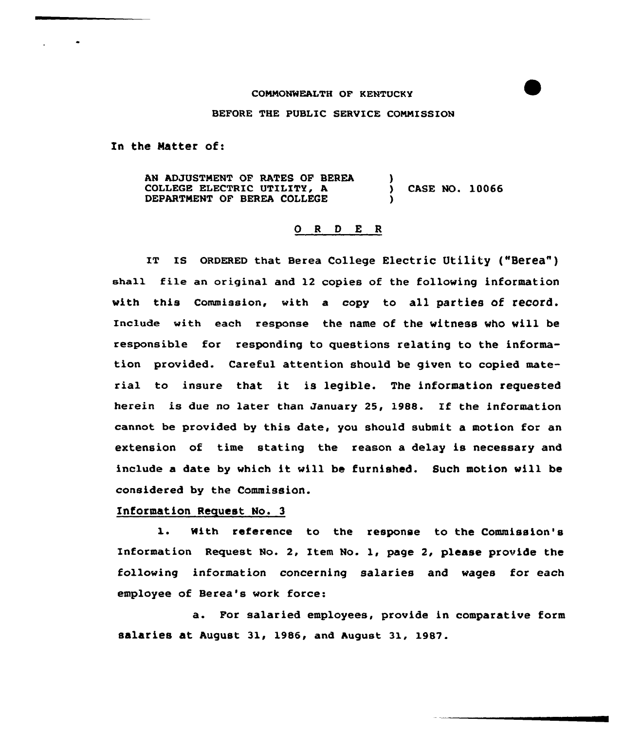## CONNONNEALTH OF KENTUCKY

BEFORE THE PUBLIC SERVICE CONNISSION

In the Matter of:

AN ADJUSTNENT OF RATES OF BEREA COLLEGE ELECTRIC UTILITY, A DEPARTNENT OF BEREA COLLEGE 3 ) CASE NO. 10066 )

## 0 <sup>R</sup> <sup>D</sup> E <sup>R</sup>

IT IS ORDERED that Berea College Electric Utility ("Berea") eha11 file an original and 12 copies of the following information with this Commission, with a copy to all parties of record. Include with each response the name of the witness who will be responsible for responding to questions relating to the information provided. Careful attention should be given to copied material to insure that it is legible. The information requested herein is due no later than January 25, 1988. If the information cannot be provided by this date, you should submit a motion for an extension of time stating the reason a delay is necessary and include <sup>a</sup> date by which it vill be furnished. Such motion will be considered by the Commission.

## Information Request No. 3

1. With reference to the response to the Commission's Information Request No. 2, Item No. l, page 2, please provide the following information concerning salaries and vages for each employee of Berea's work force:

a. For salaried employees, provide in comparative form salaries at August 31, 1986, and August 31, 1987.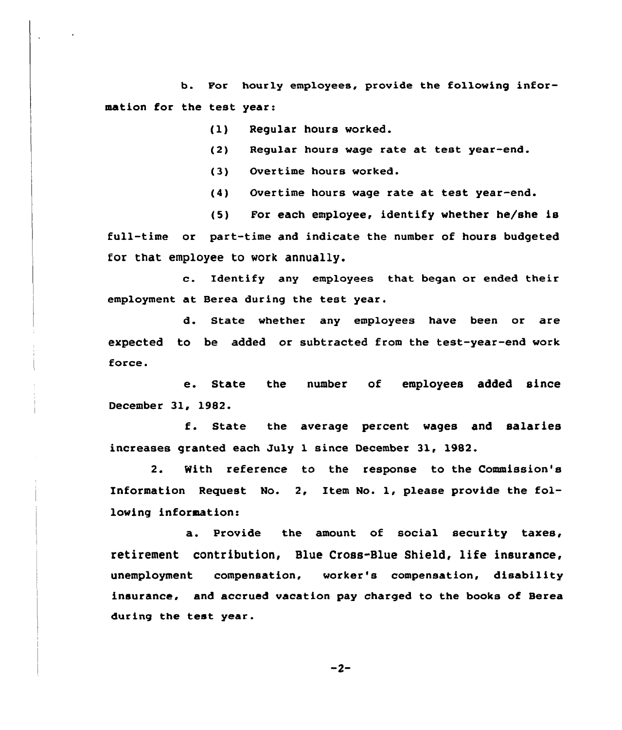b. For hourly employees, provide the following information for the test year:

(1) Regular hours worked.

(2) Regular hours wage rate at test year-end.

(3) Overtime hours worked.

(4) Overtime hours wage rate at test year-end.

(5) For each employee, identify whether he/she is full-time or part-time and indicate the number of hours budgeted for that employee to work annually.

c. Identify any employees that began or ended their employment at Berea during the test year.

d. State whether any employees have been or are expected to be added or subtracted from the test-year-end work force.

e. State the number of employees added since December 31, 1982.

f. State the average percent wages and salaries increases granted each July 1 since December 31, 1982.

2. With reference to the response to the Commission's Information Request No. 2, Item No. 1, please provide the following information:

a. Provide the amount of social security taxes, retirement contribution, Blue Cross-Blue Shield, life insurance, unemployment compensation, worker's compensation, disability insurance, and accrued vacation pay charged to the books of Serea during the test year.

 $-2-$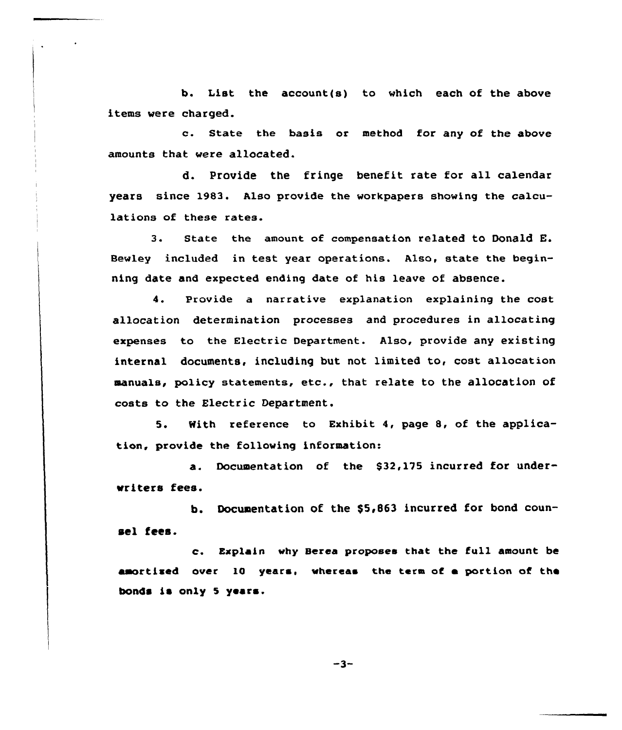b. List the account(s) to which each of the above items were charged.

c. State the basis or method for any of the above amounts that were allocated.

d. provide the fringe benefit rate for all calendar years since 1983. Also provide the workpapers showing the calculations of these rates.

3. state the amount of compensation related to Donald E. Bewley included in test year operations. Also, state the beginning date and expected ending date of his leave of absence.

4. Provide a narrative explanation explaining the cost allocation determination processes and procedures in allocating expenses to the Electric Department. Also, provide any existing internal documents, including but not limited to, cost allocation manuals, policy statements, etc., that relate to the allocation of costs to the Electric Department.

5. With reference to Exhibit 4, page 8, of the application, provide the following information:

a. Documentation of the \$32,175 incurred for underwriters fees.

b. Documentation of the \$5,863 incurred for bond counsel fees.

c. Explain why Herea proposes that the full amount be amortized over 10 years, whereas the term of a portion of the bonds is only 5 years.

 $-3-$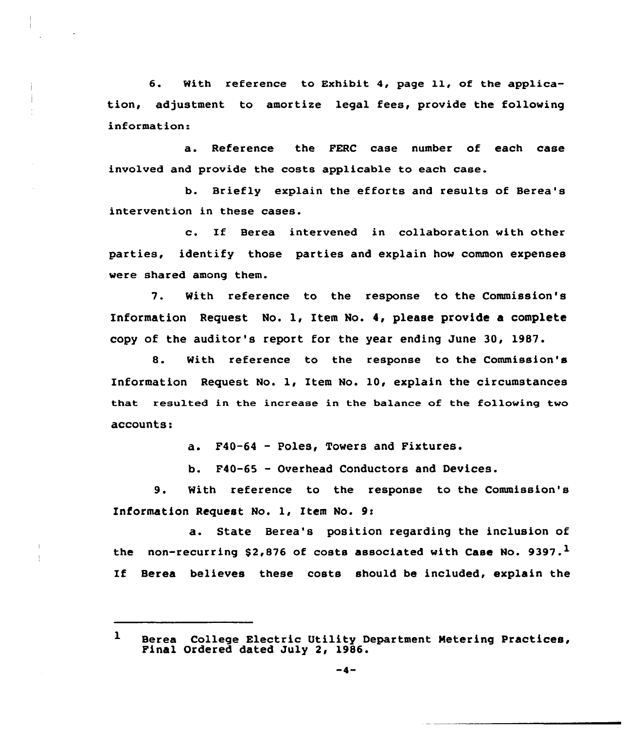6. With reference to Exhibit 4, page ll, of the application, adjustment to amortize legal fees, provide the following informations

a. Reference the FERC case number of each case involved and provide the costs applicable to each case.

b. Briefly explain the efforts and results of Berea's intervention in these cases.

c. If Berea intervened in collaboration with other parties, identify those parties and explain how common expenses were shared among them.

7. With reference to the response to the Commission's Information Request No. 1, Item No. 4, please provide a complete copy of the auditor's report for the year ending June 30, 1987.

8. With reference to the response to the Commission's Information Request No. 1, Item No. 10, explain the circumstances that xesulted in the increase in the balance of the following two accounts:

a. F40-64 — Poles, Towers and Fixtures.

b. F40-65 - Overhead Conductors and Devices.

9. With reference to the response to the Commission's Information Request No. 1, Item No. 9s

a. State Berea's position regarding the inclusion of the non-recurring \$2,876 of costs associated with Case No. 9397.<sup>1</sup> If Berea believes these costs should be included, explain the

 $\mathbf{1}$ Berea College Electric Utility Department Metering Practices, Final Ordered dated July 2, 1986.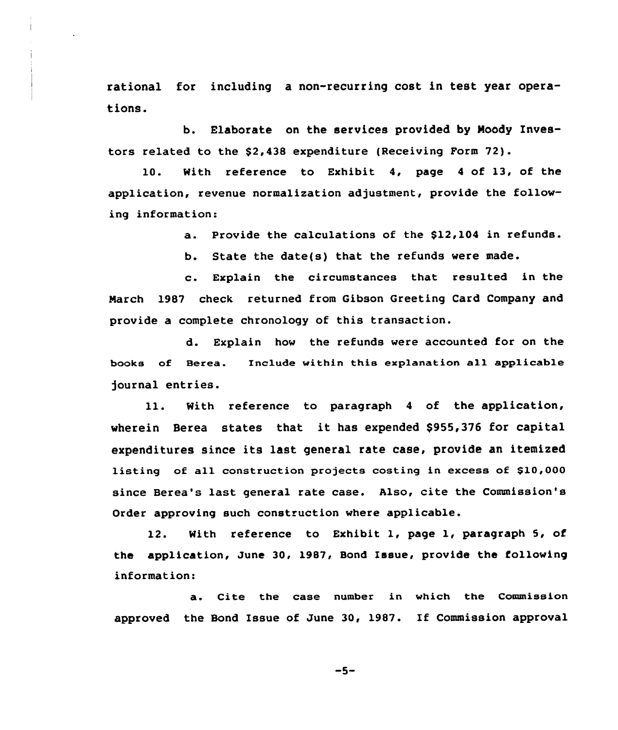rational for including a non-recurring cost in test year operations.

b. Elaborate on the services provided by Moody Investors related to the \$2,438 expenditure (Receiving Form 72).

10. With reference to Exhibit 4, page <sup>4</sup> of 13, of the application, revenue normalization adjustment, provide the following information:

a. provide the calculations of the \$12,104 in refunds.

b. State the date(s) that the refunds were made.

c. Explain the circumstances that resulted in the March 1987 check returned from Gibson Greeting Card Company and provide a complete chronology of this transaction.

d. Explain how the refunds were accounted for on the books of Berea. Include within this explanation all applicable journal entries.

ll. Nith reference to paragraph <sup>4</sup> of the application, wherein Berea states that it has expended \$955,376 for capital expenditures since its last general rate case, provide an itemized listing of all construction projects costing in excess of \$10,000 since Berea's last general rate case. Also, cite the Commission's Order approving such construction where applicable.

12. With reference to Exhibit 1, page 1, paragraph 5, of the application, June 30, 1987, Bond Issue, provide the following information:

a. Cite the case number in which the Commission approved the Bond Issue of June 30, 1987. If Commission approval

 $-5-$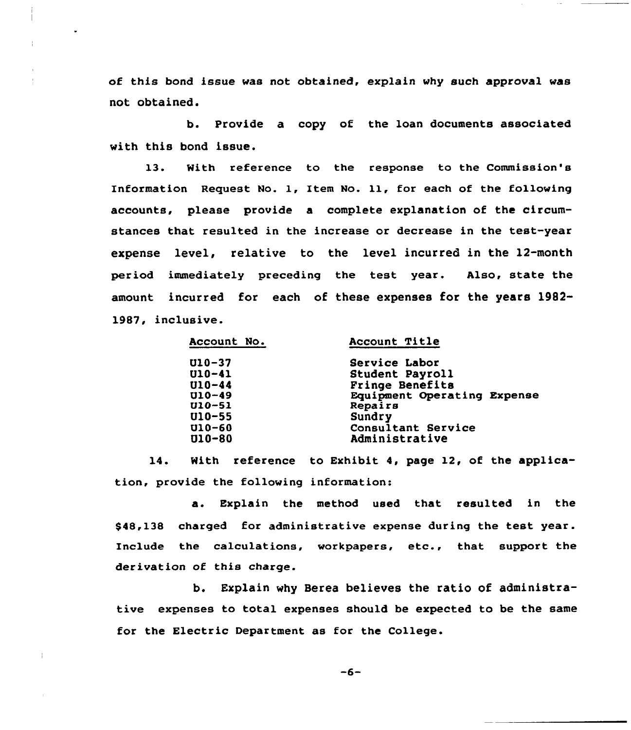of this bond issue was not obtained, explain why such approval was not obtained.

b. Provide a copy of the loan documents associated with this bond issue.

13. With reference to the response to the Commission's Information Request No. 1, Item No. 11, for each of the following accounts, please provide a complete explanation of the circumstances that resulted in the increase or decrease in the test-year expense level, relative to the level incurred in the 12-month period immediately preceding the test year. Also, state the amount incurred for each of these expenses for the years 1982- 1987, inclusive.

| Account No. | Account Title               |
|-------------|-----------------------------|
| U10-37      | Service Labor               |
| $U10 - 41$  | Student Payroll             |
| $U10 - 44$  | Fringe Benefits             |
| $U10-49$    | Equipment Operating Expense |
| $U10 - 51$  | Repairs                     |
| $U10-55$    | <b>Sundry</b>               |
| $U10-60$    | Consultant Service          |
| $U10 - 80$  | Administrative              |
|             |                             |

14. With reference to Exhibit 4, page 12, of the application, provide the following information:

a. Explain the method used that resulted in the \$48,138 charged for administrative expense during the test year. Include the calculations, workpapers, etc., that support the derivation of this charge.

b. Explain why Berea believes the ratio of administrative expenses to total expenses should be expected to be the same for the Electric Department as for the College.

 $-6-$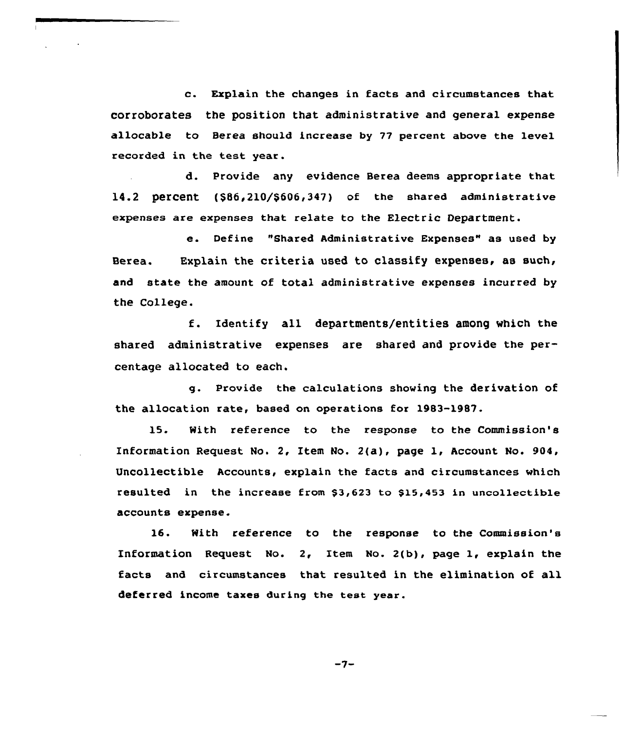c. Explain the changes in facts and circumstances that corroborates the position that administrative and general expense allocable to Berea should increase by 77 percent above the level recorded in the test year.

d. Provide any evidence Berea deems appropriate that 14.2 percent  $(586, 210/5606, 347)$  of the shared administrative expenses are expenses that relate to the Electric Department.

e. Define "Shared Administrative Expenses" as used by Berea. Explain the criteria used to classify expenses, as such, and state the amount of total administrative expenses incurred by the College.

f. Identify all departments/entities among which the shared administrative expenses are shared and provide the percentage allocated to each.

g. Provide the calculations showing the derivation of the allocation rate, based on operations for 1983-1987.

15. With reference to the response to the Commission's Information Request No. 2, Item No. 2{a), page 1, Account No. 904, Uncollectible Accounts, explain the facts and circumstances which resulted in the increase from \$3,623 to \$15,453 in uncollectible accounts expense.

16. With reference to the response to the Commission's Information Request No. 2, Item No. 2(b), page  $l$ , explain the facts and circumstances that resulted in the elimination of all deferred income taxes during the teat year.

 $-7-$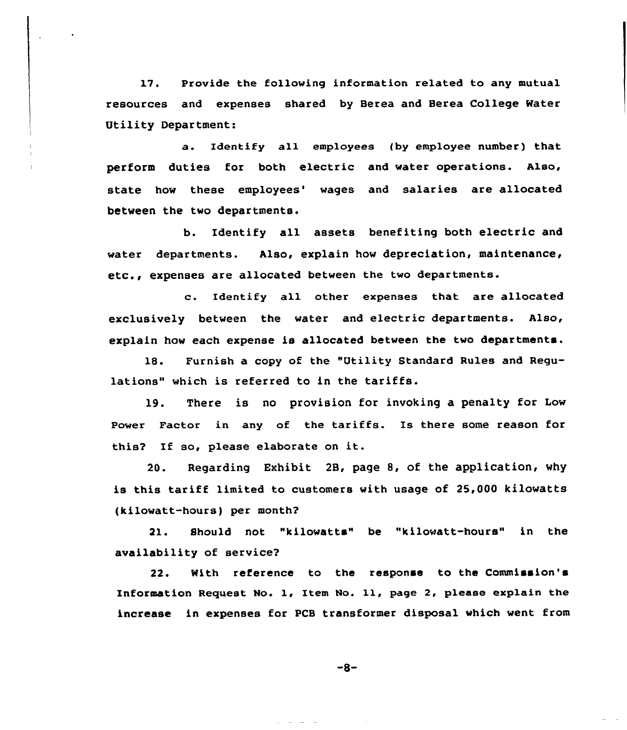17. Provide the following information related to any mutual resources and expenses shared by Berea and Berea College Water Utility Department:

a. Identify all employees (by employee number) that perform duties for both electric and water operations. also, state how these employees' waqes and salaries are allocated between the two departments.

b. Identify all assets benefiting both electric and water departments. Also, explain how depreciation, maintenance, etc., expenses are allocated between the two departments.

c. Identify all other expenses that are allocated exclusively between the water and electric departments. Also, explain how each expense is allocated between the two departments.

18. Furnish a copy of the "Utility Standard Rules and Regulations" which is referred to in the tariffs.

19. There is no provision for invoking a penalty for Low Power Factor in any of the tariffs. Is there some reason for this? If so, please elaborate on it.

20. Regarding Exhibit 2B, page 8, of the application, why is this tariff limited to customers with usage of 25,000 kilowatts (kilowatt-hours) per month?

21. Should not "kilowatts" be "kilowatt-hours" in the availability of service?

22. With reference to the response to the Commission's Information Request No. 1, Item No. 11, page 2, please explain the increase in expenses for PCB transformer disposal which went from

 $-8-$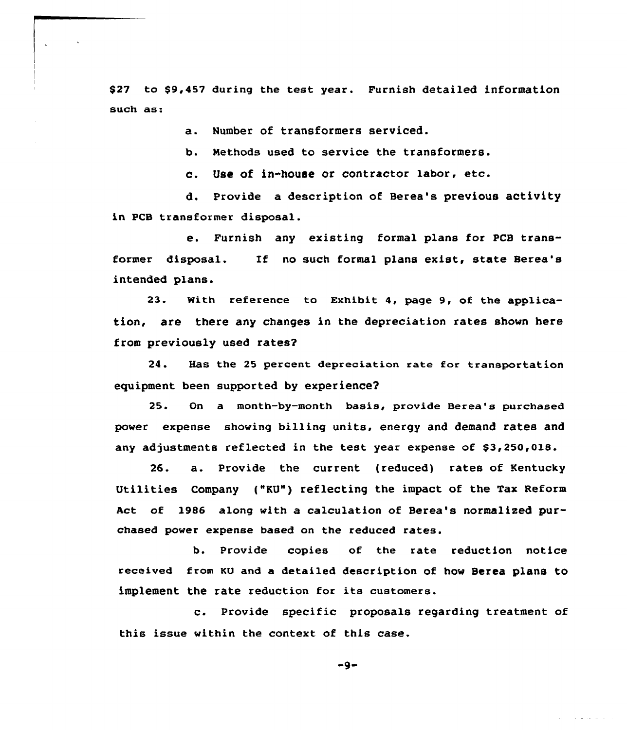\$ 27 to \$9,457 during the test year. Furnish detailed information such as:

a. Number of transformers serviced.

b. Methods used to service the transformers.

c. Use of in-house or contractor labor, etc.

d. Provide a description of Berea's previous activity in PCB transformer disposal.

e. Furnish any existing formal plans for PCB transformer disposal. If no such formal plans exist, state Berea's intended plans.

23. With reference to Exhibit 4, page 9, of the application, are there any changes in the depreciation rates shown here from previously used rates?

24. Has the 25 percent depreciation rate for transportation equipment been supported by experience2

25. On a month-by-month basis, provide Berea's purchased power expense showing billing units, energy and demand rates and any adjustments reflected in the test year expense of \$3,250,018.

26. a. Provide the current (reduced) rates of Kentucky Utilities Company ("KU") reflecting the impact of the Tax Reform Act of 1986 along with a calculation of Berea's normalised purchased power expense based on the reduced rates.

b. Provide copies of the rate reduction notice received from KU and a detailed description of how Berea plans to implement the rate reduction for its customers.

c. Provide specific proposals regarding treatment of this issue within the context of this case.

 $-9-$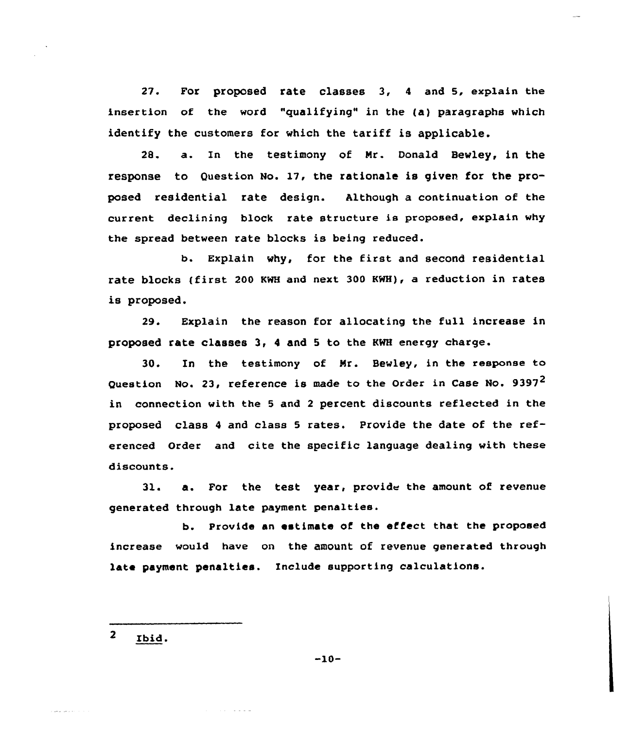27. For proposed rate classes 3, <sup>4</sup> and 5, explain the insertion of the word "qualifying" in the (a) paragraphs which identify the customers for which the tariff is applicable.

28. a. Zn the testimony of Nr. Donald Bewley, in the response to Question No. 17, the rationale is given for the proposed residential rate design. Although a continuation of the current declining block rate structure is proposed, explain why the spread between rate blocks is being reduced.

b. Explain why, for the first and second residential rate blocks (first <sup>200</sup> KWH and next 300 KWH), a reduction in rates is proposed.

29. Explain the reason for allocating the full increase in proposed rate classes 3, <sup>4</sup> and 5 to the KWH energy charge.

30. In the testimony of Nr. Bewley, in the response to Question No. 23, reference is made to the Order in Case No. 9397<sup>2</sup> in connection with the <sup>5</sup> and <sup>2</sup> percent discounts reflected in the proposed class <sup>4</sup> and class <sup>5</sup> rates. Provide the date of the referenced Order and cite the specific language dealing with these discounts.

 $31.$  a. For the test year, provide the amount of revenue generated through late payment penaltiee.

b. Provide an estimate of the effect that the proposed increase would have on the amount of revenue generated through late payment penalties. Include supporting calculations.

 $\overline{\mathbf{z}}$ Ibid.

 $-10-$ 

and the state of